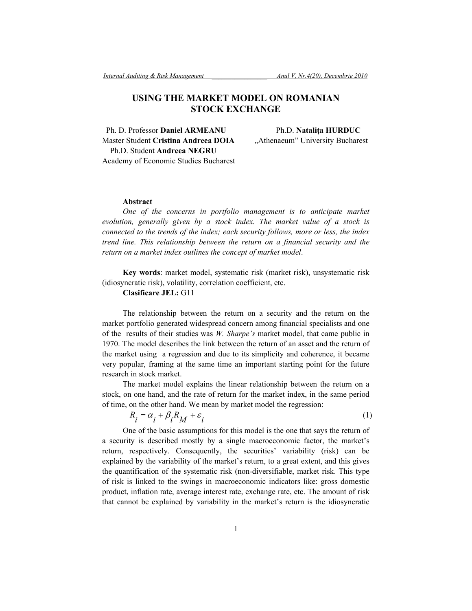# **USING THE MARKET MODEL ON ROMANIAN STOCK EXCHANGE**

 Ph. D. Professor **Daniel ARMEANU** Ph.D. **Nataliţa HURDUC** Master Student Cristina Andreea DOIA ... Athenaeum" University Bucharest Ph.D. Student **Andreea NEGRU** Academy of Economic Studies Bucharest

## **Abstract**

*One of the concerns in portfolio management is to anticipate market evolution, generally given by a stock index. The market value of a stock is connected to the trends of the index; each security follows, more or less, the index trend line. This relationship between the return on a financial security and the return on a market index outlines the concept of market model*.

**Key words**: market model, systematic risk (market risk), unsystematic risk (idiosyncratic risk), volatility, correlation coefficient, etc.

# **Clasificare JEL:** G11

The relationship between the return on a security and the return on the market portfolio generated widespread concern among financial specialists and one of the results of their studies was *W. Sharpe's* market model, that came public in 1970. The model describes the link between the return of an asset and the return of the market using a regression and due to its simplicity and coherence, it became very popular, framing at the same time an important starting point for the future research in stock market.

The market model explains the linear relationship between the return on a stock, on one hand, and the rate of return for the market index, in the same period of time, on the other hand. We mean by market model the regression:

$$
R_i = \alpha_i + \beta_i R_M + \varepsilon_i \tag{1}
$$

One of the basic assumptions for this model is the one that says the return of a security is described mostly by a single macroeconomic factor, the market's return, respectively. Consequently, the securities' variability (risk) can be explained by the variability of the market's return, to a great extent, and this gives the quantification of the systematic risk (non-diversifiable, market risk. This type of risk is linked to the swings in macroeconomic indicators like: gross domestic product, inflation rate, average interest rate, exchange rate, etc. The amount of risk that cannot be explained by variability in the market's return is the idiosyncratic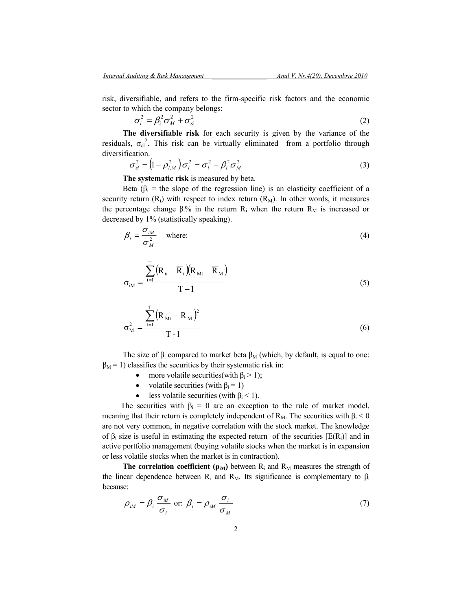risk, diversifiable, and refers to the firm-specific risk factors and the economic sector to which the company belongs:

$$
\sigma_i^2 = \beta_i^2 \sigma_M^2 + \sigma_a^2 \tag{2}
$$

**The diversifiable risk** for each security is given by the variance of the residuals,  $\sigma_{\rm ei}^2$ . This risk can be virtually eliminated from a portfolio through diversification.

$$
\sigma_{ai}^2 = \left(1 - \rho_{i,M}^2\right)\sigma_i^2 = \sigma_i^2 - \beta_i^2 \sigma_M^2 \tag{3}
$$

**The systematic risk** is measured by beta.

Beta ( $\beta_i$  = the slope of the regression line) is an elasticity coefficient of a security return  $(R_i)$  with respect to index return  $(R_M)$ . In other words, it measures the percentage change  $\beta_1\%$  in the return R<sub>i</sub> when the return R<sub>M</sub> is increased or decreased by 1% (statistically speaking).

$$
\beta_i = \frac{\sigma_{iM}}{\sigma_M^2} \quad \text{where:} \tag{4}
$$

$$
\sigma_{\text{in}} = \frac{\sum_{t=1}^{T} (R_{\text{it}} - \overline{R}_{\text{i}})(R_{\text{Mt}} - \overline{R}_{\text{M}})}{T - 1}
$$
(5)

$$
\sigma_M^2 = \frac{\sum_{t=1}^{T} (R_{Mt} - \overline{R}_M)^2}{T - 1}
$$
 (6)

The size of  $\beta_i$  compared to market beta  $\beta_M$  (which, by default, is equal to one:  $\beta_M$  = 1) classifies the securities by their systematic risk in:

- more volatile securities(with  $\beta_i > 1$ );
- volatile securities (with  $\beta_i = 1$ )
- less volatile securities (with  $\beta_i$  < 1).

The securities with  $\beta_i = 0$  are an exception to the rule of market model, meaning that their return is completely independent of  $R_M$ . The securities with  $\beta_i < 0$ are not very common, in negative correlation with the stock market. The knowledge of  $\beta_i$  size is useful in estimating the expected return of the securities [E(R<sub>i</sub>)] and in active portfolio management (buying volatile stocks when the market is in expansion or less volatile stocks when the market is in contraction).

**The correlation coefficient (** $\rho$ **<sub>***M***</sub>**) between  $R$ <sup>*i*</sup> and  $R$ <sup>*M*</sup> measures the strength of the linear dependence between  $R_i$  and  $R_M$ . Its significance is complementary to  $\beta_i$ because:

$$
\rho_{iM} = \beta_i \frac{\sigma_M}{\sigma_i} \text{ or: } \beta_i = \rho_{iM} \frac{\sigma_i}{\sigma_M} \tag{7}
$$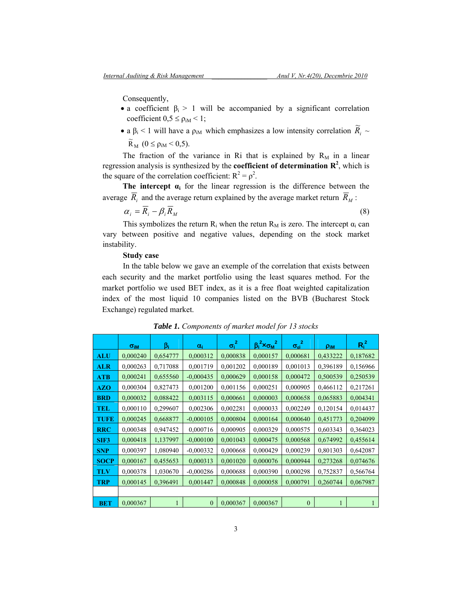Consequently,

- a coefficient  $\beta_i > 1$  will be accompanied by a significant correlation coefficient  $0.5 \le p_{iM} < 1$ ;
- a β<sub>i</sub> < 1 will have a  $ρ_{iM}$  which emphasizes a low intensity correlation  $\widetilde{R}_i \sim$  $\widetilde{R}_{M}$  (0  $\leq \rho_{iM}$  < 0,5).

The fraction of the variance in Ri that is explained by  $R_M$  in a linear regression analysis is synthesized by the **coefficient of determination R<sup>2</sup>**, which is the square of the correlation coefficient:  $R^2 = \rho^2$ .

**The intercept αi** for the linear regression is the difference between the average  $\overline{R}_i$  and the average return explained by the average market return  $\overline{R}_M$ :

$$
\alpha_i = \overline{R}_i - \beta_i \overline{R}_M \tag{8}
$$

This symbolizes the return  $R_i$  when the retun  $R_M$  is zero. The intercept  $\alpha_i$  can vary between positive and negative values, depending on the stock market instability.

### **Study case**

In the table below we gave an exemple of the correlation that exists between each security and the market portfolio using the least squares method. For the market portfolio we used BET index, as it is a free float weighted capitalization index of the most liquid 10 companies listed on the BVB (Bucharest Stock Exchange) regulated market.

|             | $\sigma_{\text{IM}}$ | Bι       | $\alpha_i$  | $\sigma_i^2$ | $\beta_i^2 \times \sigma_M^2$ | $\sigma_{\rm ei}^2$ | Pim      | $R_i^2$  |  |
|-------------|----------------------|----------|-------------|--------------|-------------------------------|---------------------|----------|----------|--|
| <b>ALU</b>  | 0,000240             | 0,654777 | 0,000312    | 0,000838     | 0,000157                      | 0,000681            | 0,433222 | 0,187682 |  |
| <b>ALR</b>  | 0,000263             | 0,717088 | 0,001719    | 0,001202     | 0,000189                      | 0,001013            | 0,396189 | 0,156966 |  |
| <b>ATB</b>  | 0,000241             | 0,655560 | $-0,000435$ | 0,000629     | 0,000158                      | 0,000472            | 0,500539 | 0,250539 |  |
| <b>AZO</b>  | 0,000304             | 0,827473 | 0,001200    | 0,001156     | 0,000251                      | 0,000905            | 0,466112 | 0,217261 |  |
| <b>BRD</b>  | 0,000032             | 0,088422 | 0,003115    | 0,000661     | 0,000003                      | 0,000658            | 0,065883 | 0,004341 |  |
| TEL         | 0,000110             | 0,299607 | 0,002306    | 0,002281     | 0,000033                      | 0,002249            | 0,120154 | 0,014437 |  |
| <b>TUFE</b> | 0,000245             | 0,668877 | $-0,000105$ | 0,000804     | 0,000164                      | 0,000640            | 0,451773 | 0,204099 |  |
| <b>RRC</b>  | 0,000348             | 0,947452 | 0,000716    | 0,000905     | 0,000329                      | 0,000575            | 0,603343 | 0,364023 |  |
| SIF3        | 0,000418             | 1,137997 | $-0,000100$ | 0,001043     | 0,000475                      | 0,000568            | 0,674992 | 0,455614 |  |
| <b>SNP</b>  | 0,000397             | 1,080940 | $-0,000332$ | 0,000668     | 0,000429                      | 0,000239            | 0,801303 | 0,642087 |  |
| <b>SOCP</b> | 0,000167             | 0,455653 | 0,000313    | 0,001020     | 0,000076                      | 0,000944            | 0,273268 | 0,074676 |  |
| TLV         | 0,000378             | 1,030670 | $-0,000286$ | 0,000688     | 0,000390                      | 0,000298            | 0,752837 | 0,566764 |  |
| <b>TRP</b>  | 0,000145             | 0,396491 | 0,001447    | 0,000848     | 0,000058                      | 0,000791            | 0,260744 | 0,067987 |  |
|             |                      |          |             |              |                               |                     |          |          |  |
| <b>BET</b>  | 0,000367             | 1        | $\theta$    | 0,000367     | 0,000367                      | $\theta$            |          |          |  |

*Table 1. Components of market model for 13 stocks*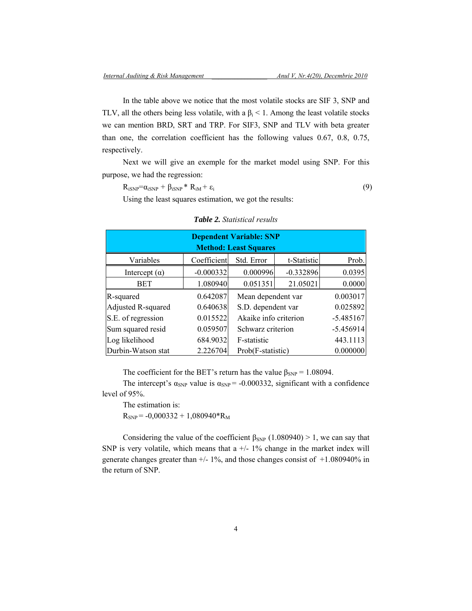In the table above we notice that the most volatile stocks are SIF 3, SNP and TLV, all the others being less volatile, with a  $\beta_i$  < 1. Among the least volatile stocks we can mention BRD, SRT and TRP. For SIF3, SNP and TLV with beta greater than one, the correlation coefficient has the following values 0.67, 0.8, 0.75, respectively.

Next we will give an exemple for the market model using SNP. For this purpose, we had the regression:

$$
R_{iSNP} = \alpha_{iSNP} + \beta_{iSNP} * R_{iM} + \varepsilon_i
$$
\n(9)

Using the least squares estimation, we got the results:

| <b>Dependent Variable: SNP</b> |             |                       |             |             |  |  |  |  |  |  |
|--------------------------------|-------------|-----------------------|-------------|-------------|--|--|--|--|--|--|
| <b>Method: Least Squares</b>   |             |                       |             |             |  |  |  |  |  |  |
| Variables                      | Coefficient | Std. Error            | t-Statistic | Prob.       |  |  |  |  |  |  |
| Intercept $(\alpha)$           | $-0.000332$ | 0.000996              | $-0.332896$ | 0.0395      |  |  |  |  |  |  |
| <b>BET</b>                     | 1.080940    | 0.051351              | 21.05021    | 0.0000      |  |  |  |  |  |  |
| R-squared                      | 0.642087    | Mean dependent var    | 0.003017    |             |  |  |  |  |  |  |
| Adjusted R-squared             | 0.640638    | S.D. dependent var    | 0.025892    |             |  |  |  |  |  |  |
| S.E. of regression             | 0.015522    | Akaike info criterion |             | $-5.485167$ |  |  |  |  |  |  |
| Sum squared resid              | 0.059507    | Schwarz criterion     |             | $-5.456914$ |  |  |  |  |  |  |
| Log likelihood                 | 684.9032    | F-statistic           | 443.1113    |             |  |  |  |  |  |  |
| Durbin-Watson stat             | 2.226704    | Prob(F-statistic)     |             | 0.000000    |  |  |  |  |  |  |

#### *Table 2. Statistical results*

The coefficient for the BET's return has the value  $\beta_{SNP} = 1.08094$ .

The intercept's  $\alpha_{SNP}$  value is  $\alpha_{SNP}$  = -0.000332, significant with a confidence level of 95%.

The estimation is:

 $R_{SNP}$  = -0,000332 + 1,080940\*R<sub>M</sub>

Considering the value of the coefficient  $\beta_{SNP}$  (1.080940) > 1, we can say that SNP is very volatile, which means that a  $+/-1\%$  change in the market index will generate changes greater than  $+/- 1\%$ , and those changes consist of  $+1.080940\%$  in the return of SNP.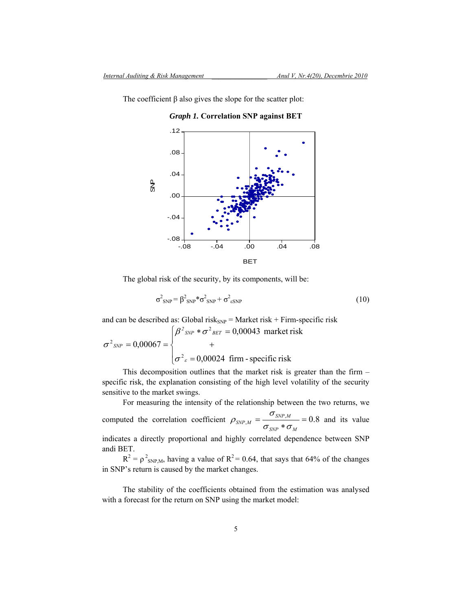*Graph 1.* **Correlation SNP against BET**

The coefficient  $\beta$  also gives the slope for the scatter plot:



The global risk of the security, by its components, will be:

$$
\sigma_{\text{SNP}}^2 = \beta_{\text{SNP}}^2 \ast \sigma_{\text{SNP}}^2 + \sigma_{\text{esNP}}^2 \tag{10}
$$

and can be described as: Global risk $_{SNP}$  = Market risk + Firm-specific risk

$$
\sigma^{2}_{SNP} = 0,00067 = \begin{cases} \beta^{2}_{SNP} * \sigma^{2}_{BET} = 0,00043 \text{ market risk} \\ + \\ \sigma^{2}_{\varepsilon} = 0,00024 \text{ firm - specific risk} \end{cases}
$$

This decomposition outlines that the market risk is greater than the firm – specific risk, the explanation consisting of the high level volatility of the security sensitive to the market swings.

For measuring the intensity of the relationship between the two returns, we

computed the correlation coefficient  $\rho_{SNP,M} = \frac{\sigma_{SNP,M}}{\sigma_{SNP}} = 0.8$ *SNP M*  $SNP$ <sub>*M*</sub>  $-\frac{1}{\sigma_{emp}*\sigma}$  $\rho_{SNPM} = \frac{\sigma_{SNP,M}}{\sigma_{SNP,M}} = 0.8$  and its value indicates a directly proportional and highly correlated dependence between SNP andi BET.

 $R^2 = \rho^2$ <sub>SNP,M</sub>, having a value of  $R^2 = 0.64$ , that says that 64% of the changes in SNP's return is caused by the market changes.

The stability of the coefficients obtained from the estimation was analysed with a forecast for the return on SNP using the market model: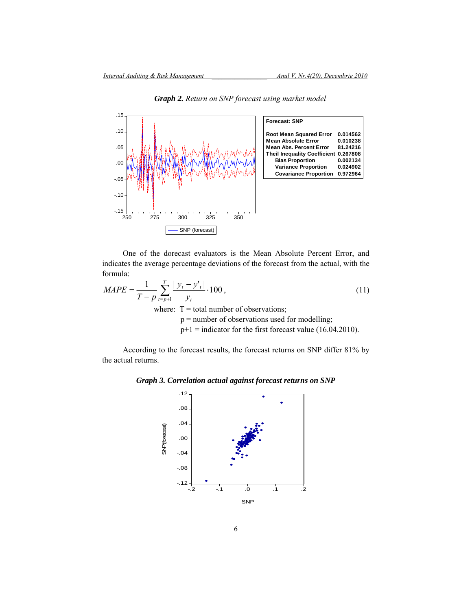

*Graph 2. Return on SNP forecast using market model*

One of the dorecast evaluators is the Mean Absolute Percent Error, and indicates the average percentage deviations of the forecast from the actual, with the formula:

$$
MAPE = \frac{1}{T - p} \sum_{t=p+1}^{T} \frac{|y_t - y_t'|}{y_t} \cdot 100,
$$
\n(11)  
\nwhere: T = total number of observations;  
\np = number of observations used for modelling;  
\np+1 = indicator for the first forecast value (16.04.2010).

According to the forecast results, the forecast returns on SNP differ 81% by the actual returns.

*Graph 3. Correlation actual against forecast returns on SNP* 

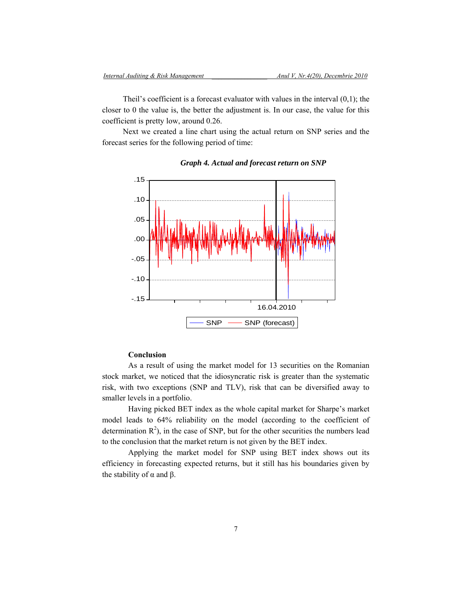Theil's coefficient is a forecast evaluator with values in the interval (0,1); the closer to 0 the value is, the better the adjustment is. In our case, the value for this coefficient is pretty low, around 0.26.

Next we created a line chart using the actual return on SNP series and the forecast series for the following period of time:



#### *Graph 4. Actual and forecast return on SNP*

# **Conclusion**

As a result of using the market model for 13 securities on the Romanian stock market, we noticed that the idiosyncratic risk is greater than the systematic risk, with two exceptions (SNP and TLV), risk that can be diversified away to smaller levels in a portfolio.

Having picked BET index as the whole capital market for Sharpe's market model leads to 64% reliability on the model (according to the coefficient of determination  $R^2$ ), in the case of SNP, but for the other securities the numbers lead to the conclusion that the market return is not given by the BET index.

Applying the market model for SNP using BET index shows out its efficiency in forecasting expected returns, but it still has his boundaries given by the stability of  $\alpha$  and  $\beta$ .